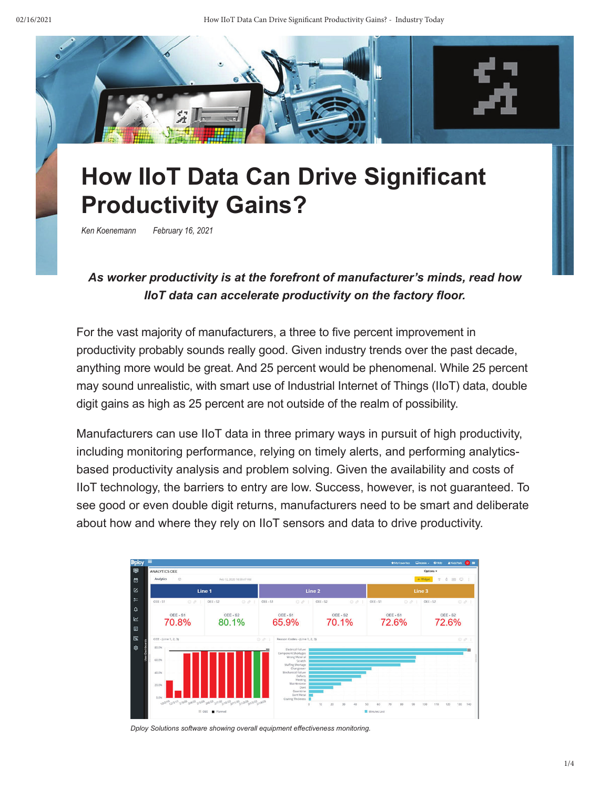

# **How IIoT Data Can Drive Significant Productivity Gains?**

*Ken Koenemann February 16, 2021*

### *As worker productivity is at the forefront of manufacturer's minds, read how IIoT data can accelerate productivity on the factory floor.*

For the vast majority of manufacturers, a three to five percent improvement in productivity probably sounds really good. Given industry trends over the past decade, anything more would be great. And 25 percent would be phenomenal. While 25 percent may sound unrealistic, with smart use of Industrial Internet of Things (IIoT) data, double digit gains as high as 25 percent are not outside of the realm of possibility.

Manufacturers can use IIoT data in three primary ways in pursuit of high productivity, including monitoring performance, relying on timely alerts, and performing analyticsbased productivity analysis and problem solving. Given the availability and costs of IIoT technology, the barriers to entry are low. Success, however, is not guaranteed. To see good or even double digit returns, manufacturers need to be smart and deliberate about how and where they rely on IIoT sensors and data to drive productivity.

| <b>Dploy</b>                             | ≡                                        |                                                                                   |                                                                                                                                                                                                                                           |                      | *My Favorites              | <b>ANick Park 0 III</b><br>CAdmin - OHelp |  |
|------------------------------------------|------------------------------------------|-----------------------------------------------------------------------------------|-------------------------------------------------------------------------------------------------------------------------------------------------------------------------------------------------------------------------------------------|----------------------|----------------------------|-------------------------------------------|--|
| 團                                        | <b>ANALYTICS OEE</b>                     |                                                                                   |                                                                                                                                                                                                                                           | Options -            |                            |                                           |  |
| 固                                        | Analytics<br>ø                           | Feb 12, 2020 10:59:47 AM                                                          |                                                                                                                                                                                                                                           |                      |                            | $+$ Widget<br>图 口<br>ô.<br>$\mathbb T$    |  |
| 囜                                        | Line 1                                   |                                                                                   | Line 2                                                                                                                                                                                                                                    |                      | Line 3                     |                                           |  |
| $5 -$                                    | OEE-S1<br>OQ                             | OEE - S2<br>001                                                                   | OEE - S1<br>O                                                                                                                                                                                                                             | OEE-S2<br>$O$ $O$    | OEE-S1<br>$O \vartheta$ :  | OEE - S2<br>$O$ &                         |  |
| $\Omega$<br>$\overline{\mathbf{K}}$<br>目 | OEE-S1<br>70.8%                          | OEE - S2<br>80.1%                                                                 | OEE-S1<br>65.9%                                                                                                                                                                                                                           | OEE-S2<br>70.1%      | OEE-S1<br>72.6%            | OEE - S2<br>72.6%                         |  |
| 匡                                        | OEE - (Line 1, 2, 3)                     |                                                                                   | 00<br>Reason Codes - (Line 1, 2, 3)                                                                                                                                                                                                       |                      |                            | O                                         |  |
| 懲                                        | 80.0%<br>60.0%<br>40.0%<br>20.0%<br>0.0% | 12/2/19 2/3/19 2/3/20 2/4/20 2/6/20 2/1/20 2/10/20 2/11/20 2/2/20 2/13/20 2/14/20 | Electrical Failure<br>Component Shortages<br>Wrong Material<br>Scratch<br>Staffing Shortage<br>Changeover<br>Mechanical Failure<br>Defects<br>Meeting<br>Maintenance<br>Dent<br>Downtime<br>Bent Metal<br>Coating Thickness<br>$_{\rm 0}$ | 10<br>30<br>20<br>40 | 50<br>60<br>70<br>80<br>90 | ≡<br>100<br>110<br>120<br>130<br>140      |  |
|                                          |                                          | OEE Planned                                                                       |                                                                                                                                                                                                                                           | Minutes Lost         |                            |                                           |  |

*Dploy Solutions software showing overall equipment effectiveness monitoring.*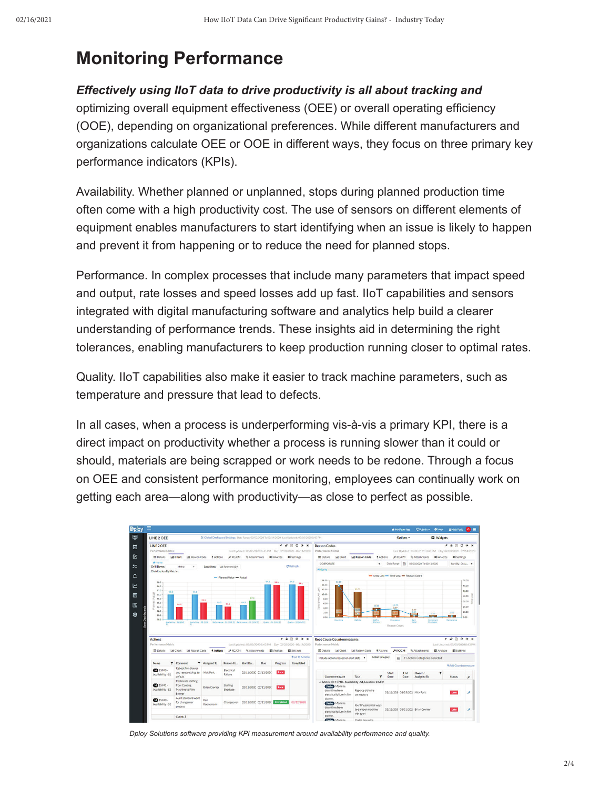### **Monitoring Performance**

#### *Effectively using IIoT data to drive productivity is all about tracking and*

optimizing overall equipment effectiveness (OEE) or overall operating efficiency (OOE), depending on organizational preferences. While different manufacturers and organizations calculate OEE or OOE in different ways, they focus on three primary key performance indicators (KPIs).

Availability. Whether planned or unplanned, stops during planned production time often come with a high productivity cost. The use of sensors on different elements of equipment enables manufacturers to start identifying when an issue is likely to happen and prevent it from happening or to reduce the need for planned stops.

Performance. In complex processes that include many parameters that impact speed and output, rate losses and speed losses add up fast. IIoT capabilities and sensors integrated with digital manufacturing software and analytics help build a clearer understanding of performance trends. These insights aid in determining the right tolerances, enabling manufacturers to keep production running closer to optimal rates.

Quality. IIoT capabilities also make it easier to track machine parameters, such as temperature and pressure that lead to defects.

In all cases, when a process is underperforming vis-à-vis a primary KPI, there is a direct impact on productivity whether a process is running slower than it could or should, materials are being scrapped or work needs to be redone. Through a focus on OEE and consistent performance monitoring, employees can continually work on getting each area—along with productivity—as close to perfect as possible.



*Dploy Solutions software providing KPI measurement around availability performance and quality.*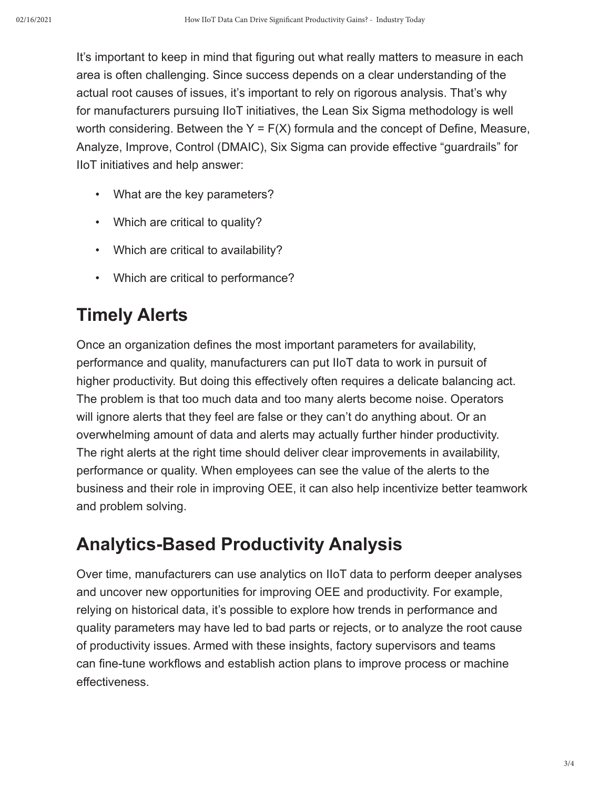It's important to keep in mind that figuring out what really matters to measure in each area is often challenging. Since success depends on a clear understanding of the actual root causes of issues, it's important to rely on rigorous analysis. That's why for manufacturers pursuing IIoT initiatives, the Lean Six Sigma methodology is well worth considering. Between the  $Y = F(X)$  formula and the concept of Define, Measure, Analyze, Improve, Control (DMAIC), Six Sigma can provide effective "guardrails" for IIoT initiatives and help answer:

- What are the key parameters?
- Which are critical to quality?
- Which are critical to availability?
- Which are critical to performance?

## **Timely Alerts**

Once an organization defines the most important parameters for availability, performance and quality, manufacturers can put IIoT data to work in pursuit of higher productivity. But doing this effectively often requires a delicate balancing act. The problem is that too much data and too many alerts become noise. Operators will ignore alerts that they feel are false or they can't do anything about. Or an overwhelming amount of data and alerts may actually further hinder productivity. The right alerts at the right time should deliver clear improvements in availability, performance or quality. When employees can see the value of the alerts to the business and their role in improving OEE, it can also help incentivize better teamwork and problem solving.

### **Analytics-Based Productivity Analysis**

Over time, manufacturers can use analytics on IIoT data to perform deeper analyses and uncover new opportunities for improving OEE and productivity. For example, relying on historical data, it's possible to explore how trends in performance and quality parameters may have led to bad parts or rejects, or to analyze the root cause of productivity issues. Armed with these insights, factory supervisors and teams can fine-tune workflows and establish action plans to improve process or machine effectiveness.